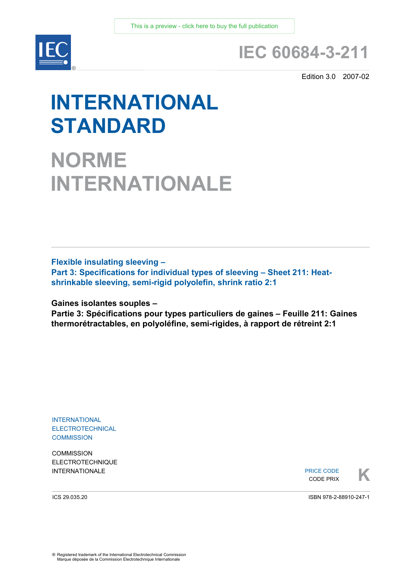

## **IEC 60684-3-211**

Edition 3.0 2007-02

# **INTERNATIONAL STANDARD**

**NORME INTERNATIONALE**

**Flexible insulating sleeving –** 

**Part 3: Specifications for individual types of sleeving – Sheet 211: Heatshrinkable sleeving, semi-rigid polyolefin, shrink ratio 2:1** 

**Gaines isolantes souples –** 

**Partie 3: Spécifications pour types particuliers de gaines – Feuille 211: Gaines thermorétractables, en polyoléfine, semi-rigides, à rapport de rétreint 2:1** 

INTERNATIONAL ELECTROTECHNICAL **COMMISSION** 

**COMMISSION** ELECTROTECHNIQUE

INTERNATIONALE PRICE CODE PRICE CODE PRICE CODE PRICE CODE PRIX PRICE CODE CODE PRIX



ICS 29.035.20

ISBN 978-2-88910-247-1

® Registered trademark of the International Electrotechnical Commission Marque déposée de la Commission Electrotechnique Internationale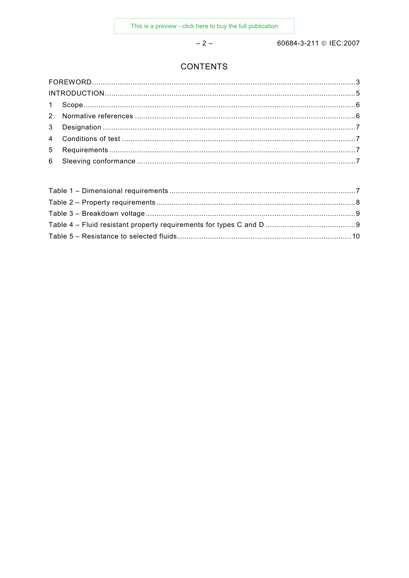$-2-$ 

60684-3-211 © IEC:2007

## **CONTENTS**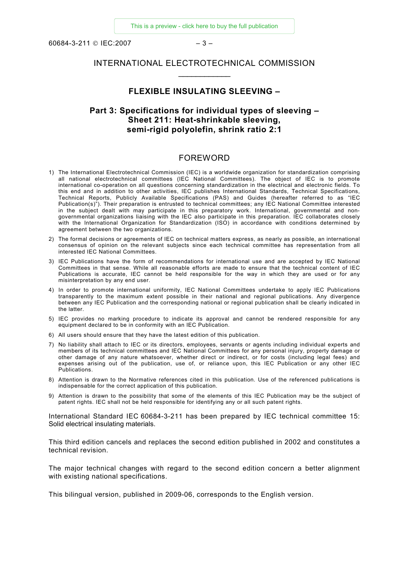<span id="page-2-0"></span>60684-3-211 © IEC:2007 – 3 –

## INTERNATIONAL ELECTROTECHNICAL COMMISSION  $\frac{1}{2}$  ,  $\frac{1}{2}$  ,  $\frac{1}{2}$  ,  $\frac{1}{2}$  ,  $\frac{1}{2}$  ,  $\frac{1}{2}$  ,  $\frac{1}{2}$

#### **FLEXIBLE INSULATING SLEEVING –**

## **Part 3: Specifications for individual types of sleeving – Sheet 211: Heat-shrinkable sleeving, semi-rigid polyolefin, shrink ratio 2:1**

## FOREWORD

- 1) The International Electrotechnical Commission (IEC) is a worldwide organization for standardization comprising all national electrotechnical committees (IEC National Committees). The object of IEC is to promote international co-operation on all questions concerning standardization in the electrical and electronic fields. To this end and in addition to other activities, IEC publishes International Standards, Technical Specifications, Technical Reports, Publicly Available Specifications (PAS) and Guides (hereafter referred to as "IEC Publication(s)"). Their preparation is entrusted to technical committees; any IEC National Committee interested in the subject dealt with may participate in this preparatory work. International, governmental and nongovernmental organizations liaising with the IEC also participate in this preparation. IEC collaborates closely with the International Organization for Standardization (ISO) in accordance with conditions determined by agreement between the two organizations.
- 2) The formal decisions or agreements of IEC on technical matters express, as nearly as possible, an international consensus of opinion on the relevant subjects since each technical committee has representation from all interested IEC National Committees.
- 3) IEC Publications have the form of recommendations for international use and are accepted by IEC National Committees in that sense. While all reasonable efforts are made to ensure that the technical content of IEC Publications is accurate, IEC cannot be held responsible for the way in which they are used or for any misinterpretation by any end user.
- 4) In order to promote international uniformity, IEC National Committees undertake to apply IEC Publications transparently to the maximum extent possible in their national and regional publications. Any divergence between any IEC Publication and the corresponding national or regional publication shall be clearly indicated in the latter.
- 5) IEC provides no marking procedure to indicate its approval and cannot be rendered responsible for any equipment declared to be in conformity with an IEC Publication.
- 6) All users should ensure that they have the latest edition of this publication.
- 7) No liability shall attach to IEC or its directors, employees, servants or agents including individual experts and members of its technical committees and IEC National Committees for any personal injury, property damage or other damage of any nature whatsoever, whether direct or indirect, or for costs (including legal fees) and expenses arising out of the publication, use of, or reliance upon, this IEC Publication or any other IEC Publications.
- 8) Attention is drawn to the Normative references cited in this publication. Use of the referenced publications is indispensable for the correct application of this publication.
- 9) Attention is drawn to the possibility that some of the elements of this IEC Publication may be the subject of patent rights. IEC shall not be held responsible for identifying any or all such patent rights.

International Standard IEC 60684-3-211 has been prepared by IEC technical committee 15: Solid electrical insulating materials.

This third edition cancels and replaces the second edition published in 2002 and constitutes a technical revision.

The major technical changes with regard to the second edition concern a better alignment with existing national specifications.

This bilingual version, published in 2009-06, corresponds to the English version.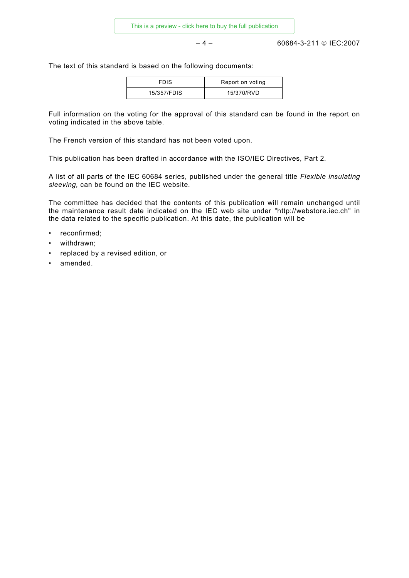– 4 – 60684-3-211 © IEC:2007

The text of this standard is based on the following documents:

| <b>FDIS</b> | Report on voting |
|-------------|------------------|
| 15/357/FDIS | 15/370/RVD       |

Full information on the voting for the approval of this standard can be found in the report on voting indicated in the above table.

The French version of this standard has not been voted upon.

This publication has been drafted in accordance with the ISO/IEC Directives, Part 2.

A list of all parts of the IEC 60684 series, published under the general title *Flexible insulating sleeving,* can be found on the IEC website.

The committee has decided that the contents of this publication will remain unchanged until the maintenance result date indicated on the IEC web site under "http://webstore.iec.ch" in the data related to the specific publication. At this date, the publication will be

- reconfirmed;
- withdrawn;
- replaced by a revised edition, or
- amended.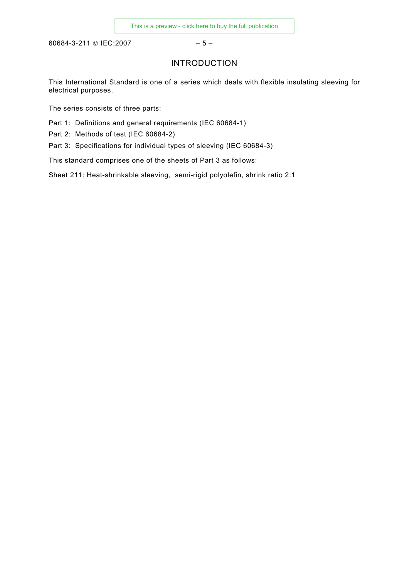<span id="page-4-0"></span>60684-3-211 © IEC:2007 – 5 –

## INTRODUCTION

This International Standard is one of a series which deals with flexible insulating sleeving for electrical purposes.

The series consists of three parts:

Part 1: Definitions and general requirements (IEC 60684-1)

Part 2: Methods of test (IEC 60684-2)

Part 3: Specifications for individual types of sleeving (IEC 60684-3)

This standard comprises one of the sheets of Part 3 as follows:

Sheet 211: Heat-shrinkable sleeving, semi-rigid polyolefin, shrink ratio 2:1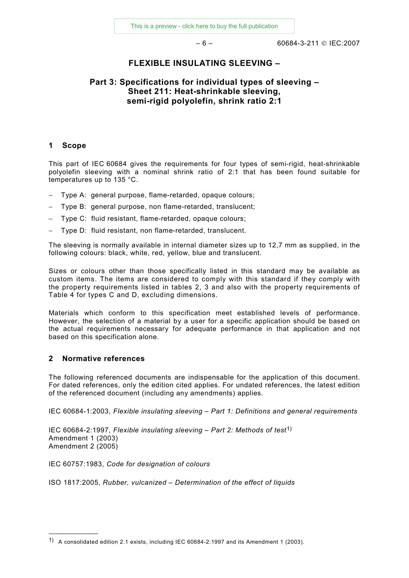$-6 - 6$ 

## **FLEXIBLE INSULATING SLEEVING –**

## <span id="page-5-0"></span>**Part 3: Specifications for individual types of sleeving – Sheet 211: Heat-shrinkable sleeving, semi-rigid polyolefin, shrink ratio 2:1**

## **1 Scope**

This part of IEC 60684 gives the requirements for four types of semi-rigid, heat-shrinkable polyolefin sleeving with a nominal shrink ratio of 2:1 that has been found suitable for temperatures up to 135 °C.

- − Type A: general purpose, flame-retarded, opaque colours;
- − Type B: general purpose, non flame-retarded, translucent;
- − Type C: fluid resistant, flame-retarded, opaque colours;
- − Type D: fluid resistant, non flame-retarded, translucent.

The sleeving is normally available in internal diameter sizes up to 12,7 mm as supplied, in the following colours: black, white, red, yellow, blue and translucent.

Sizes or colours other than those specifically listed in this standard may be available as custom items. The items are considered to comply with this standard if they comply with the property requirements listed in tables 2, 3 and also with the property requirements of Table 4 for types C and D, excluding dimensions.

Materials which conform to this specification meet established levels of performance. However, the selection of a material by a user for a specific application should be based on the actual requirements necessary for adequate performance in that application and not based on this specification alone.

## **2 Normative references**

—————————

The following referenced documents are indispensable for the application of this document. For dated references, only the edition cited applies. For undated references, the latest edition of the referenced document (including any amendments) applies.

IEC 60684-1:2003, *Flexible insulating sleeving* – *Part 1: Definitions and general requirements*

IEC 60684-2:1997, *Flexible insulating sleeving* – *Part 2: Methods of test*[1](#page-5-1)) Amendment 1 (2003) Amendment 2 (2005)

IEC 60757:1983, *Code for designation of colours* 

ISO 1817:2005, *Rubber, vulcanized – Determination of the effect of liquids*

<span id="page-5-1"></span><sup>1)</sup> A consolidated edition 2.1 exists, including IEC 60684-2:1997 and its Amendment 1 (2003).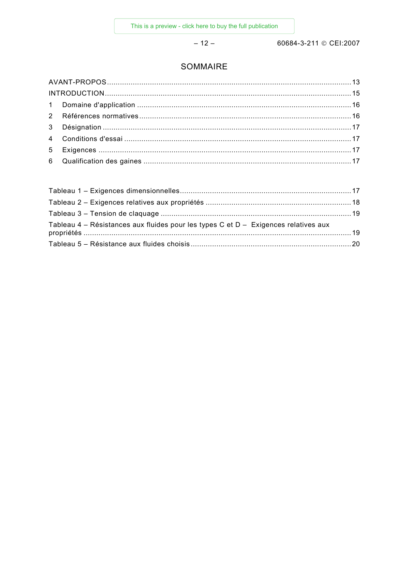$-12-$ 

60684-3-211 © CEI:2007

## SOMMAIRE

| Tableau 4 – Résistances aux fluides pour les types C et $D -$ Exigences relatives aux |  |
|---------------------------------------------------------------------------------------|--|
|                                                                                       |  |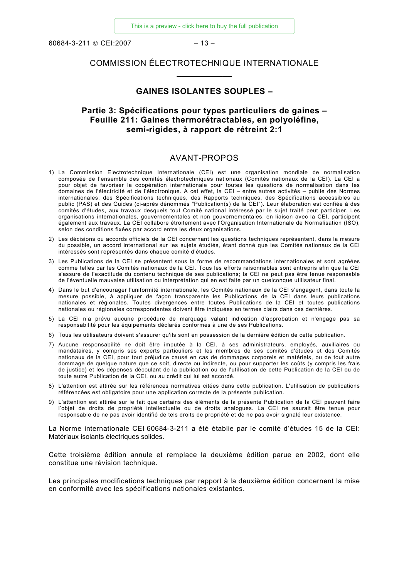<span id="page-7-0"></span>60684-3-211 © CEI:2007 – 13 –

## COMMISSION ÉLECTROTECHNIQUE INTERNATIONALE  $\frac{1}{2}$  ,  $\frac{1}{2}$  ,  $\frac{1}{2}$  ,  $\frac{1}{2}$  ,  $\frac{1}{2}$  ,  $\frac{1}{2}$

#### **GAINES ISOLANTES SOUPLES –**

## **Partie 3: Spécifications pour types particuliers de gaines – Feuille 211: Gaines thermorétractables, en polyoléfine, semi-rigides, à rapport de rétreint 2:1**

### AVANT-PROPOS

- 1) La Commission Electrotechnique Internationale (CEI) est une organisation mondiale de normalisation composée de l'ensemble des comités électrotechniques nationaux (Comités nationaux de la CEI). La CEI a pour objet de favoriser la coopération internationale pour toutes les questions de normalisation dans les domaines de l'électricité et de l'électronique. A cet effet, la CEI – entre autres activités – publie des Normes internationales, des Spécifications techniques, des Rapports techniques, des Spécifications accessibles au public (PAS) et des Guides (ci-après dénommés "Publication(s) de la CEI"). Leur élaboration est confiée à des comités d'études, aux travaux desquels tout Comité national intéressé par le sujet traité peut participer. Les organisations internationales, gouvernementales et non gouvernementales, en liaison avec la CEI, participent également aux travaux. La CEI collabore étroitement avec l'Organisation Internationale de Normalisation (ISO), selon des conditions fixées par accord entre les deux organisations.
- 2) Les décisions ou accords officiels de la CEI concernant les questions techniques représentent, dans la mesure du possible, un accord international sur les sujets étudiés, étant donné que les Comités nationaux de la CEI intéressés sont représentés dans chaque comité d'études.
- 3) Les Publications de la CEI se présentent sous la forme de recommandations internationales et sont agréées comme telles par les Comités nationaux de la CEI. Tous les efforts raisonnables sont entrepris afin que la CEI s'assure de l'exactitude du contenu technique de ses publications; la CEI ne peut pas être tenue responsable de l'éventuelle mauvaise utilisation ou interprétation qui en est faite par un quelconque utilisateur final.
- 4) Dans le but d'encourager l'uniformité internationale, les Comités nationaux de la CEI s'engagent, dans toute la mesure possible, à appliquer de façon transparente les Publications de la CEI dans leurs publications nationales et régionales. Toutes divergences entre toutes Publications de la CEI et toutes publications nationales ou régionales correspondantes doivent être indiquées en termes clairs dans ces dernières.
- 5) La CEI n'a prévu aucune procédure de marquage valant indication d'approbation et n'engage pas sa responsabilité pour les équipements déclarés conformes à une de ses Publications.
- 6) Tous les utilisateurs doivent s'assurer qu'ils sont en possession de la dernière édition de cette publication.
- 7) Aucune responsabilité ne doit être imputée à la CEI, à ses administrateurs, employés, auxiliaires ou mandataires, y compris ses experts particuliers et les membres de ses comités d'études et des Comités nationaux de la CEI, pour tout préjudice causé en cas de dommages corporels et matériels, ou de tout autre dommage de quelque nature que ce soit, directe ou indirecte, ou pour supporter les coûts (y compris les frais de justice) et les dépenses découlant de la publication ou de l'utilisation de cette Publication de la CEI ou de toute autre Publication de la CEI, ou au crédit qui lui est accordé.
- 8) L'attention est attirée sur les références normatives citées dans cette publication. L'utilisation de publications référencées est obligatoire pour une application correcte de la présente publication.
- 9) L'attention est attirée sur le fait que certains des éléments de la présente Publication de la CEI peuvent faire l'objet de droits de propriété intellectuelle ou de droits analogues. La CEI ne saurait être tenue pour responsable de ne pas avoir identifié de tels droits de propriété et de ne pas avoir signalé leur existence.

La Norme internationale CEI 60684-3-211 a été établie par le comité d'études 15 de la CEI: Matériaux isolants électriques solides.

Cette troisième édition annule et remplace la deuxième édition parue en 2002, dont elle constitue une révision technique.

Les principales modifications techniques par rapport à la deuxième édition concernent la mise en conformité avec les spécifications nationales existantes.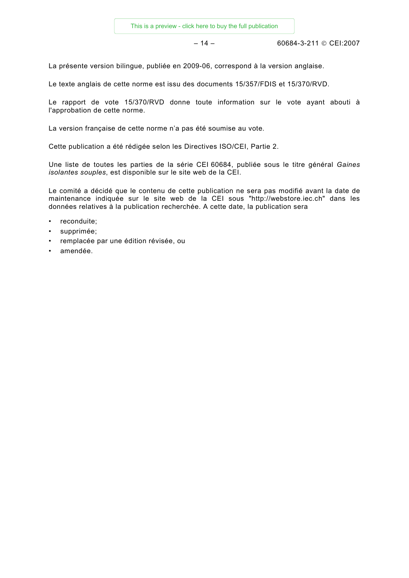– 14 – 60684-3-211 © CEI:2007

La présente version bilingue, publiée en 2009-06, correspond à la version anglaise.

Le texte anglais de cette norme est issu des documents 15/357/FDIS et 15/370/RVD.

Le rapport de vote 15/370/RVD donne toute information sur le vote ayant abouti à l'approbation de cette norme.

La version française de cette norme n'a pas été soumise au vote.

Cette publication a été rédigée selon les Directives ISO/CEI, Partie 2.

Une liste de toutes les parties de la série CEI 60684, publiée sous le titre général *Gaines isolantes souples*, est disponible sur le site web de la CEI.

Le comité a décidé que le contenu de cette publication ne sera pas modifié avant la date de maintenance indiquée sur le site web de la CEI sous "http://webstore.iec.ch" dans les données relatives à la publication recherchée. A cette date, la publication sera

- reconduite;
- supprimée;
- remplacée par une édition révisée, ou
- amendée.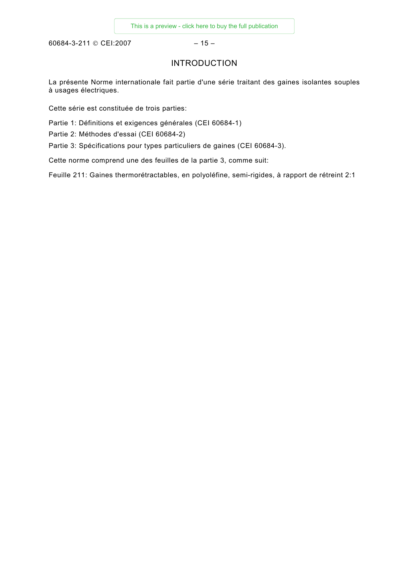<span id="page-9-0"></span>60684-3-211 © CEI:2007 - 15 -

## INTRODUCTION

La présente Norme internationale fait partie d'une série traitant des gaines isolantes souples à usages électriques.

Cette série est constituée de trois parties:

Partie 1: Définitions et exigences générales (CEI 60684-1)

Partie 2: Méthodes d'essai (CEI 60684-2)

Partie 3: Spécifications pour types particuliers de gaines (CEI 60684-3).

Cette norme comprend une des feuilles de la partie 3, comme suit:

Feuille 211: Gaines thermorétractables, en polyoléfine, semi-rigides, à rapport de rétreint 2:1